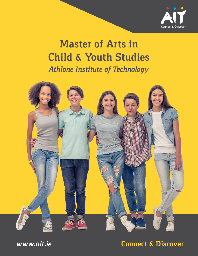

# **Master of Arts in Child & Youth Studies**

*Athlone Institute of Technology*



*www.ait.ie* **Connect & Discover**